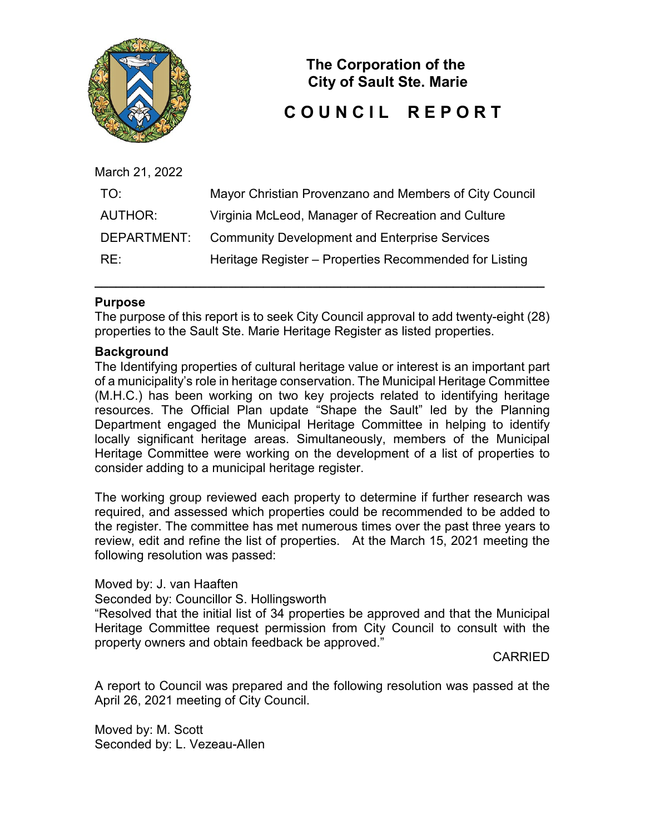

**The Corporation of the City of Sault Ste. Marie**

# **C O U N C I L R E P O R T**

| March 21, 2022 |                                                        |
|----------------|--------------------------------------------------------|
| TO:            | Mayor Christian Provenzano and Members of City Council |
| <b>AUTHOR:</b> | Virginia McLeod, Manager of Recreation and Culture     |
| DEPARTMENT:    | <b>Community Development and Enterprise Services</b>   |
| RE:            | Heritage Register – Properties Recommended for Listing |
|                |                                                        |

### **Purpose**

The purpose of this report is to seek City Council approval to add twenty-eight (28) properties to the Sault Ste. Marie Heritage Register as listed properties.

**\_\_\_\_\_\_\_\_\_\_\_\_\_\_\_\_\_\_\_\_\_\_\_\_\_\_\_\_\_\_\_\_\_\_\_\_\_\_\_\_\_\_\_\_\_\_\_\_\_\_\_\_\_\_\_\_\_\_\_\_\_\_\_\_**

#### **Background**

The Identifying properties of cultural heritage value or interest is an important part of a municipality's role in heritage conservation. The Municipal Heritage Committee (M.H.C.) has been working on two key projects related to identifying heritage resources. The Official Plan update "Shape the Sault" led by the Planning Department engaged the Municipal Heritage Committee in helping to identify locally significant heritage areas. Simultaneously, members of the Municipal Heritage Committee were working on the development of a list of properties to consider adding to a municipal heritage register.

The working group reviewed each property to determine if further research was required, and assessed which properties could be recommended to be added to the register. The committee has met numerous times over the past three years to review, edit and refine the list of properties. At the March 15, 2021 meeting the following resolution was passed:

Moved by: J. van Haaften

Seconded by: Councillor S. Hollingsworth

"Resolved that the initial list of 34 properties be approved and that the Municipal Heritage Committee request permission from City Council to consult with the property owners and obtain feedback be approved."

CARRIED

A report to Council was prepared and the following resolution was passed at the April 26, 2021 meeting of City Council.

Moved by: M. Scott Seconded by: L. Vezeau-Allen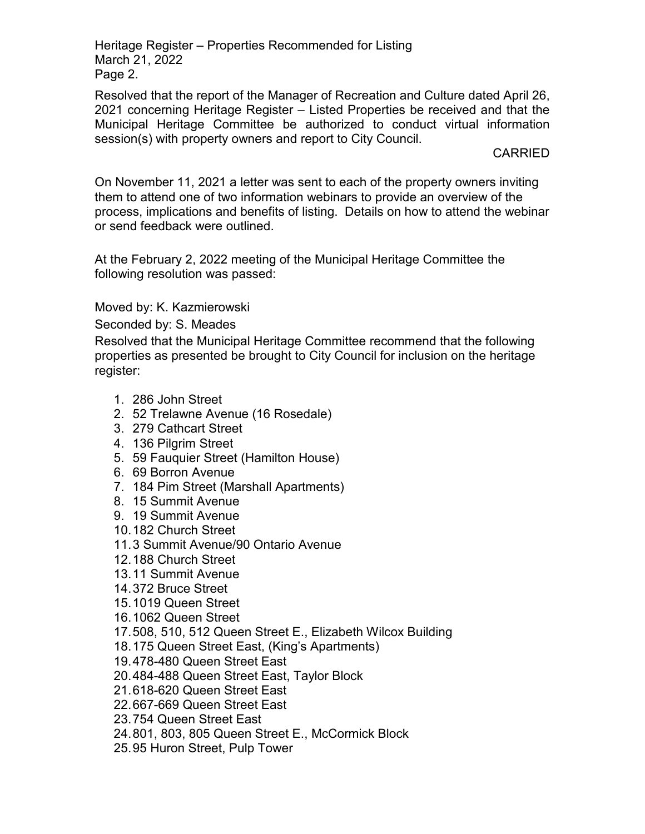Heritage Register – Properties Recommended for Listing March 21, 2022 Page 2.

Resolved that the report of the Manager of Recreation and Culture dated April 26, 2021 concerning Heritage Register – Listed Properties be received and that the Municipal Heritage Committee be authorized to conduct virtual information session(s) with property owners and report to City Council.

CARRIED

On November 11, 2021 a letter was sent to each of the property owners inviting them to attend one of two information webinars to provide an overview of the process, implications and benefits of listing. Details on how to attend the webinar or send feedback were outlined.

At the February 2, 2022 meeting of the Municipal Heritage Committee the following resolution was passed:

Moved by: K. Kazmierowski

Seconded by: S. Meades

Resolved that the Municipal Heritage Committee recommend that the following properties as presented be brought to City Council for inclusion on the heritage register:

- 1. 286 John Street
- 2. 52 Trelawne Avenue (16 Rosedale)
- 3. 279 Cathcart Street
- 4. 136 Pilgrim Street
- 5. 59 Fauquier Street (Hamilton House)
- 6. 69 Borron Avenue
- 7. 184 Pim Street (Marshall Apartments)
- 8. 15 Summit Avenue
- 9. 19 Summit Avenue
- 10.182 Church Street
- 11.3 Summit Avenue/90 Ontario Avenue
- 12.188 Church Street
- 13.11 Summit Avenue
- 14.372 Bruce Street
- 15.1019 Queen Street
- 16.1062 Queen Street
- 17.508, 510, 512 Queen Street E., Elizabeth Wilcox Building
- 18.175 Queen Street East, (King's Apartments)
- 19.478-480 Queen Street East
- 20.484-488 Queen Street East, Taylor Block
- 21.618-620 Queen Street East
- 22.667-669 Queen Street East
- 23.754 Queen Street East
- 24.801, 803, 805 Queen Street E., McCormick Block
- 25.95 Huron Street, Pulp Tower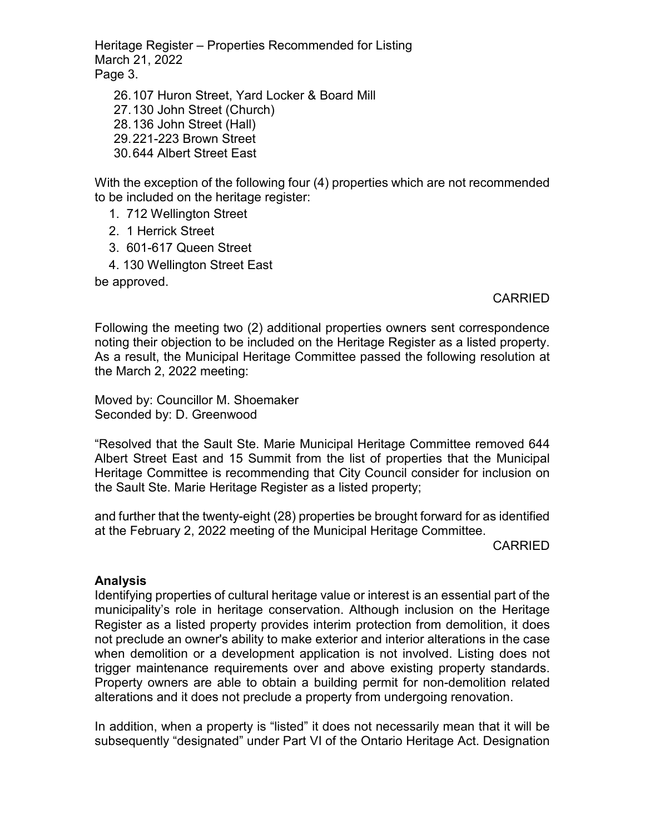Heritage Register – Properties Recommended for Listing March 21, 2022 Page 3.

26.107 Huron Street, Yard Locker & Board Mill 27.130 John Street (Church) 28.136 John Street (Hall) 29.221-223 Brown Street 30.644 Albert Street East

With the exception of the following four (4) properties which are not recommended to be included on the heritage register:

- 1. 712 Wellington Street
- 2. 1 Herrick Street
- 3. 601-617 Queen Street
- 4. 130 Wellington Street East

be approved.

# CARRIED

Following the meeting two (2) additional properties owners sent correspondence noting their objection to be included on the Heritage Register as a listed property. As a result, the Municipal Heritage Committee passed the following resolution at the March 2, 2022 meeting:

Moved by: Councillor M. Shoemaker Seconded by: D. Greenwood

"Resolved that the Sault Ste. Marie Municipal Heritage Committee removed 644 Albert Street East and 15 Summit from the list of properties that the Municipal Heritage Committee is recommending that City Council consider for inclusion on the Sault Ste. Marie Heritage Register as a listed property;

and further that the twenty-eight (28) properties be brought forward for as identified at the February 2, 2022 meeting of the Municipal Heritage Committee.

CARRIED

### **Analysis**

Identifying properties of cultural heritage value or interest is an essential part of the municipality's role in heritage conservation. Although inclusion on the Heritage Register as a listed property provides interim protection from demolition, it does not preclude an owner's ability to make exterior and interior alterations in the case when demolition or a development application is not involved. Listing does not trigger maintenance requirements over and above existing property standards. Property owners are able to obtain a building permit for non-demolition related alterations and it does not preclude a property from undergoing renovation.

In addition, when a property is "listed" it does not necessarily mean that it will be subsequently "designated" under Part VI of the Ontario Heritage Act. Designation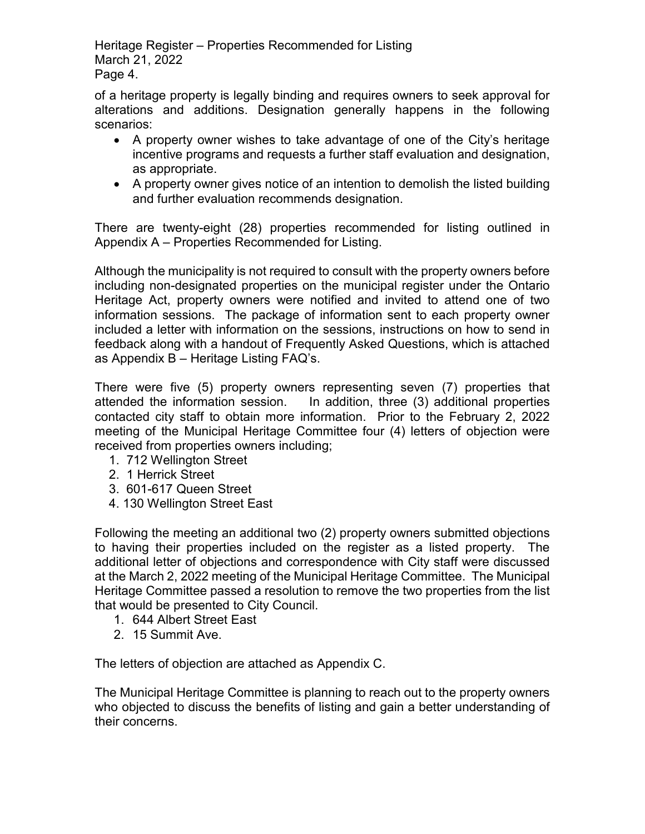Heritage Register – Properties Recommended for Listing March 21, 2022 Page 4.

of a heritage property is legally binding and requires owners to seek approval for alterations and additions. Designation generally happens in the following scenarios:

- A property owner wishes to take advantage of one of the City's heritage incentive programs and requests a further staff evaluation and designation, as appropriate.
- A property owner gives notice of an intention to demolish the listed building and further evaluation recommends designation.

There are twenty-eight (28) properties recommended for listing outlined in Appendix A – Properties Recommended for Listing.

Although the municipality is not required to consult with the property owners before including non-designated properties on the municipal register under the Ontario Heritage Act, property owners were notified and invited to attend one of two information sessions. The package of information sent to each property owner included a letter with information on the sessions, instructions on how to send in feedback along with a handout of Frequently Asked Questions, which is attached as Appendix B – Heritage Listing FAQ's.

There were five (5) property owners representing seven (7) properties that attended the information session. In addition, three (3) additional properties contacted city staff to obtain more information. Prior to the February 2, 2022 meeting of the Municipal Heritage Committee four (4) letters of objection were received from properties owners including;

- 1. 712 Wellington Street
- 2. 1 Herrick Street
- 3. 601-617 Queen Street
- 4. 130 Wellington Street East

Following the meeting an additional two (2) property owners submitted objections to having their properties included on the register as a listed property. The additional letter of objections and correspondence with City staff were discussed at the March 2, 2022 meeting of the Municipal Heritage Committee. The Municipal Heritage Committee passed a resolution to remove the two properties from the list that would be presented to City Council.

- 1. 644 Albert Street East
- 2. 15 Summit Ave.

The letters of objection are attached as Appendix C.

The Municipal Heritage Committee is planning to reach out to the property owners who objected to discuss the benefits of listing and gain a better understanding of their concerns.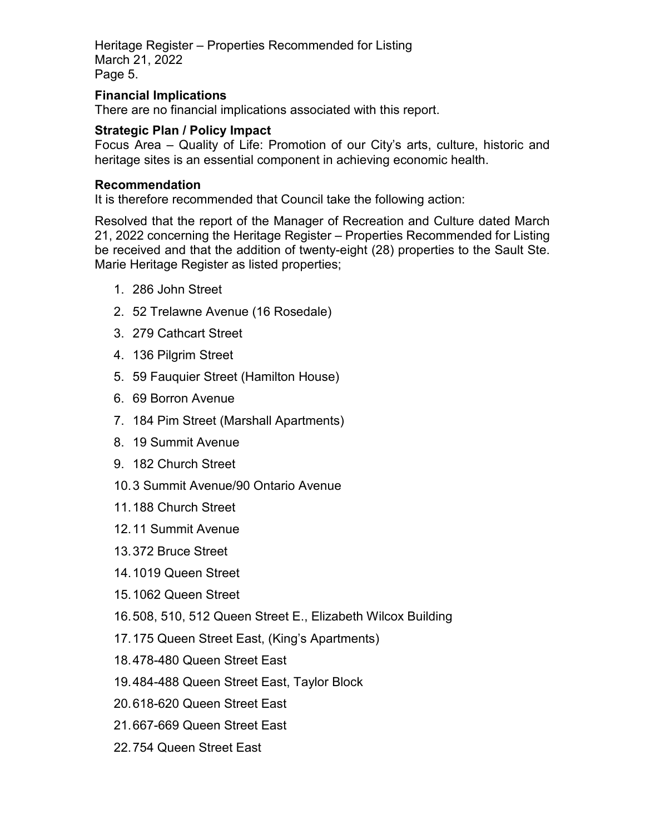Heritage Register – Properties Recommended for Listing March 21, 2022 Page 5.

## **Financial Implications**

There are no financial implications associated with this report.

## **Strategic Plan / Policy Impact**

Focus Area – Quality of Life: Promotion of our City's arts, culture, historic and heritage sites is an essential component in achieving economic health.

### **Recommendation**

It is therefore recommended that Council take the following action:

Resolved that the report of the Manager of Recreation and Culture dated March 21, 2022 concerning the Heritage Register – Properties Recommended for Listing be received and that the addition of twenty-eight (28) properties to the Sault Ste. Marie Heritage Register as listed properties;

- 1. 286 John Street
- 2. 52 Trelawne Avenue (16 Rosedale)
- 3. 279 Cathcart Street
- 4. 136 Pilgrim Street
- 5. 59 Fauquier Street (Hamilton House)
- 6. 69 Borron Avenue
- 7. 184 Pim Street (Marshall Apartments)
- 8. 19 Summit Avenue
- 9. 182 Church Street
- 10.3 Summit Avenue/90 Ontario Avenue
- 11.188 Church Street
- 12.11 Summit Avenue
- 13.372 Bruce Street
- 14.1019 Queen Street
- 15.1062 Queen Street
- 16.508, 510, 512 Queen Street E., Elizabeth Wilcox Building
- 17.175 Queen Street East, (King's Apartments)
- 18.478-480 Queen Street East
- 19.484-488 Queen Street East, Taylor Block
- 20.618-620 Queen Street East
- 21.667-669 Queen Street East
- 22.754 Queen Street East